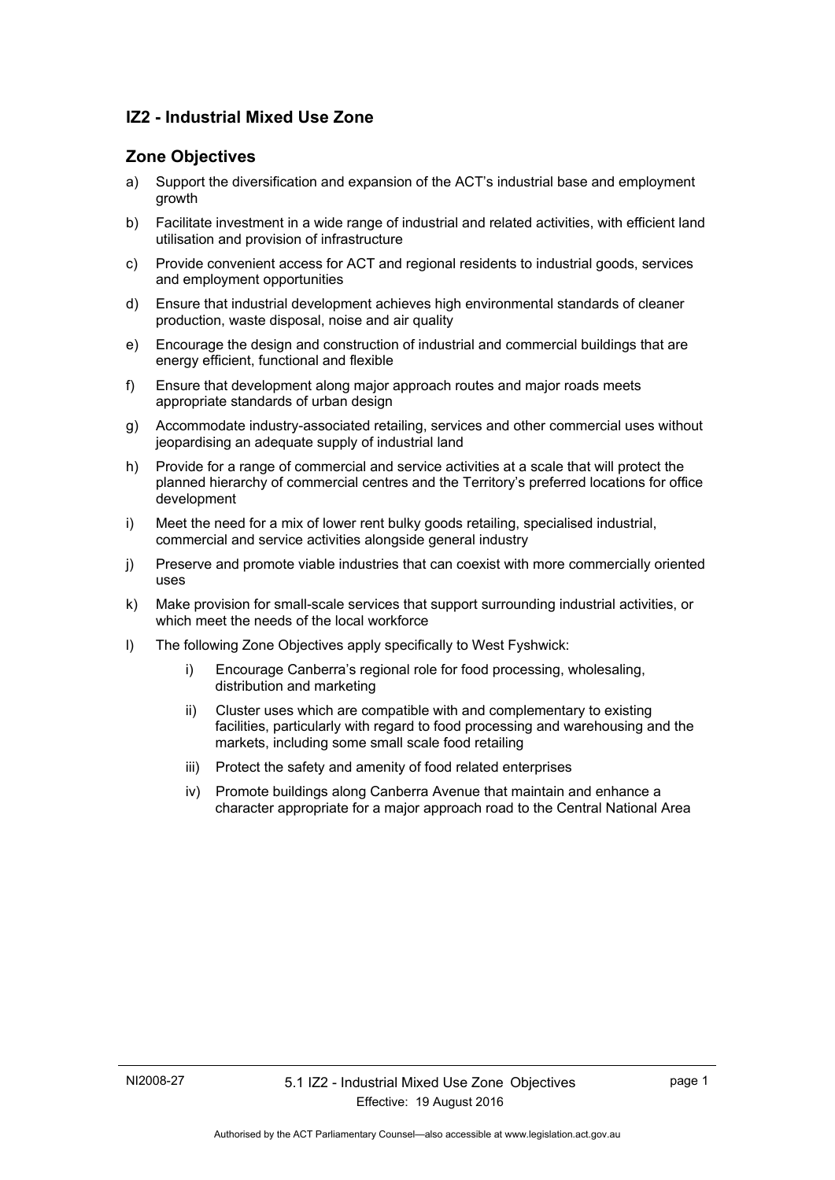## **IZ2 - Industrial Mixed Use Zone**

## **Zone Objectives**

- a) Support the diversification and expansion of the ACT's industrial base and employment growth
- b) Facilitate investment in a wide range of industrial and related activities, with efficient land utilisation and provision of infrastructure
- c) Provide convenient access for ACT and regional residents to industrial goods, services and employment opportunities
- d) Ensure that industrial development achieves high environmental standards of cleaner production, waste disposal, noise and air quality
- e) Encourage the design and construction of industrial and commercial buildings that are energy efficient, functional and flexible
- f) Ensure that development along major approach routes and major roads meets appropriate standards of urban design
- g) Accommodate industry-associated retailing, services and other commercial uses without jeopardising an adequate supply of industrial land
- h) Provide for a range of commercial and service activities at a scale that will protect the planned hierarchy of commercial centres and the Territory's preferred locations for office development
- i) Meet the need for a mix of lower rent bulky goods retailing, specialised industrial, commercial and service activities alongside general industry
- j) Preserve and promote viable industries that can coexist with more commercially oriented uses
- k) Make provision for small-scale services that support surrounding industrial activities, or which meet the needs of the local workforce
- l) The following Zone Objectives apply specifically to West Fyshwick:
	- i) Encourage Canberra's regional role for food processing, wholesaling, distribution and marketing
	- ii) Cluster uses which are compatible with and complementary to existing facilities, particularly with regard to food processing and warehousing and the markets, including some small scale food retailing
	- iii) Protect the safety and amenity of food related enterprises
	- iv) Promote buildings along Canberra Avenue that maintain and enhance a character appropriate for a major approach road to the Central National Area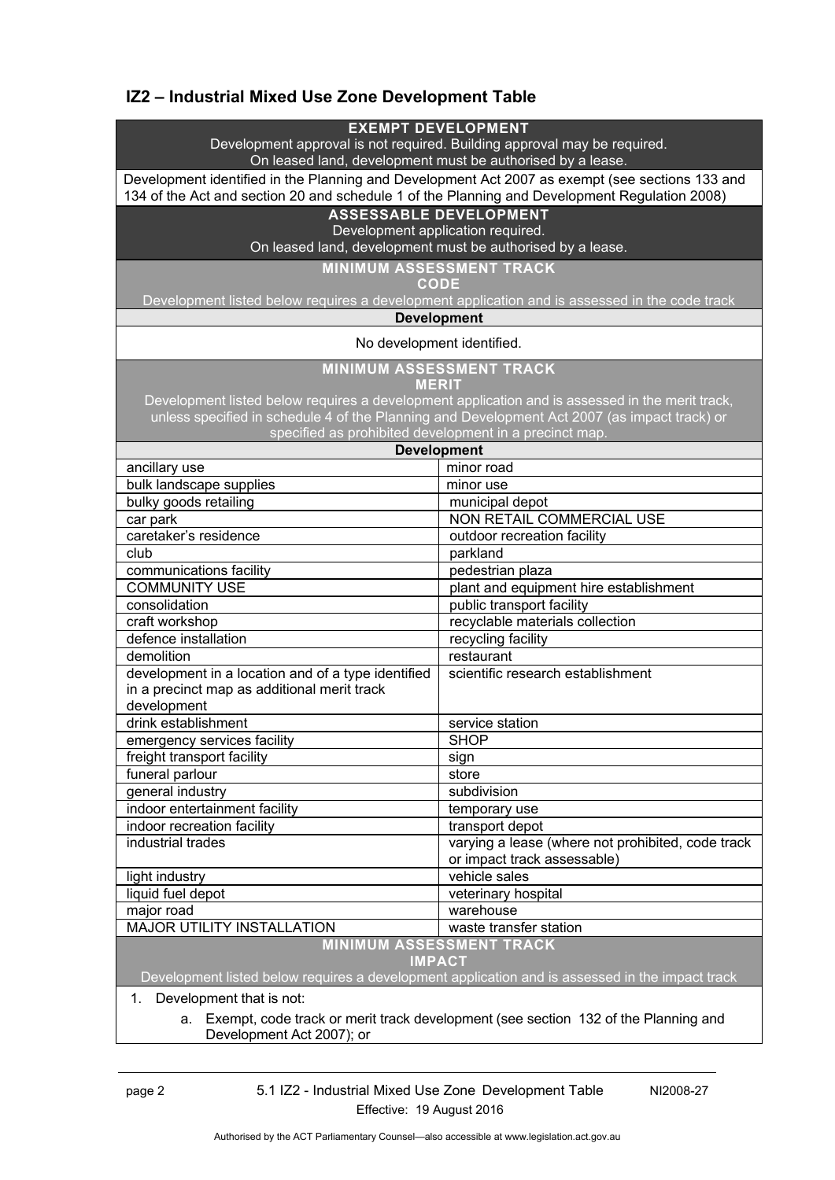# **IZ2 – Industrial Mixed Use Zone Development Table**

| <b>EXEMPT DEVELOPMENT</b><br>Development approval is not required. Building approval may be required.                                                                                            |                                                                                                 |  |
|--------------------------------------------------------------------------------------------------------------------------------------------------------------------------------------------------|-------------------------------------------------------------------------------------------------|--|
| On leased land, development must be authorised by a lease.                                                                                                                                       |                                                                                                 |  |
| Development identified in the Planning and Development Act 2007 as exempt (see sections 133 and<br>134 of the Act and section 20 and schedule 1 of the Planning and Development Regulation 2008) |                                                                                                 |  |
| <b>ASSESSABLE DEVELOPMENT</b>                                                                                                                                                                    |                                                                                                 |  |
|                                                                                                                                                                                                  | Development application required.                                                               |  |
| On leased land, development must be authorised by a lease.                                                                                                                                       |                                                                                                 |  |
|                                                                                                                                                                                                  | <b>MINIMUM ASSESSMENT TRACK</b>                                                                 |  |
|                                                                                                                                                                                                  | <b>CODE</b>                                                                                     |  |
|                                                                                                                                                                                                  | Development listed below requires a development application and is assessed in the code track   |  |
| <b>Development</b>                                                                                                                                                                               |                                                                                                 |  |
| No development identified.                                                                                                                                                                       |                                                                                                 |  |
| <b>MINIMUM ASSESSMENT TRACK</b><br><b>MERIT</b>                                                                                                                                                  |                                                                                                 |  |
|                                                                                                                                                                                                  | Development listed below requires a development application and is assessed in the merit track, |  |
|                                                                                                                                                                                                  | unless specified in schedule 4 of the Planning and Development Act 2007 (as impact track) or    |  |
| specified as prohibited development in a precinct map.                                                                                                                                           |                                                                                                 |  |
| <b>Development</b>                                                                                                                                                                               |                                                                                                 |  |
| ancillary use                                                                                                                                                                                    | minor road                                                                                      |  |
| bulk landscape supplies                                                                                                                                                                          | minor use                                                                                       |  |
| bulky goods retailing                                                                                                                                                                            | municipal depot                                                                                 |  |
| car park                                                                                                                                                                                         | NON RETAIL COMMERCIAL USE                                                                       |  |
| caretaker's residence                                                                                                                                                                            | outdoor recreation facility                                                                     |  |
| club                                                                                                                                                                                             | parkland                                                                                        |  |
| communications facility                                                                                                                                                                          | pedestrian plaza                                                                                |  |
| <b>COMMUNITY USE</b>                                                                                                                                                                             | plant and equipment hire establishment                                                          |  |
| consolidation                                                                                                                                                                                    | public transport facility                                                                       |  |
| craft workshop                                                                                                                                                                                   | recyclable materials collection                                                                 |  |
| defence installation                                                                                                                                                                             | recycling facility                                                                              |  |
| demolition                                                                                                                                                                                       | restaurant                                                                                      |  |
| development in a location and of a type identified                                                                                                                                               | scientific research establishment                                                               |  |
| in a precinct map as additional merit track                                                                                                                                                      |                                                                                                 |  |
| development                                                                                                                                                                                      |                                                                                                 |  |
| drink establishment                                                                                                                                                                              | service station                                                                                 |  |
| emergency services facility                                                                                                                                                                      | <b>SHOP</b>                                                                                     |  |
| freight transport facility                                                                                                                                                                       | sign                                                                                            |  |
| funeral parlour                                                                                                                                                                                  | store                                                                                           |  |
| general industry                                                                                                                                                                                 | subdivision                                                                                     |  |
| indoor entertainment facility                                                                                                                                                                    | temporary use                                                                                   |  |
| indoor recreation facility<br>industrial trades                                                                                                                                                  | transport depot                                                                                 |  |
|                                                                                                                                                                                                  | varying a lease (where not prohibited, code track<br>or impact track assessable)                |  |
| light industry                                                                                                                                                                                   | vehicle sales                                                                                   |  |
| liquid fuel depot                                                                                                                                                                                | veterinary hospital                                                                             |  |
| major road                                                                                                                                                                                       | warehouse                                                                                       |  |
| <b>MAJOR UTILITY INSTALLATION</b>                                                                                                                                                                | waste transfer station                                                                          |  |
| <b>MINIMUM ASSESSMENT TRACK</b>                                                                                                                                                                  |                                                                                                 |  |
| <b>IMPACT</b>                                                                                                                                                                                    |                                                                                                 |  |
|                                                                                                                                                                                                  | Development listed below requires a development application and is assessed in the impact track |  |
| Development that is not:<br>1.                                                                                                                                                                   |                                                                                                 |  |
| Exempt, code track or merit track development (see section 132 of the Planning and<br>a.                                                                                                         |                                                                                                 |  |
| Development Act 2007); or                                                                                                                                                                        |                                                                                                 |  |